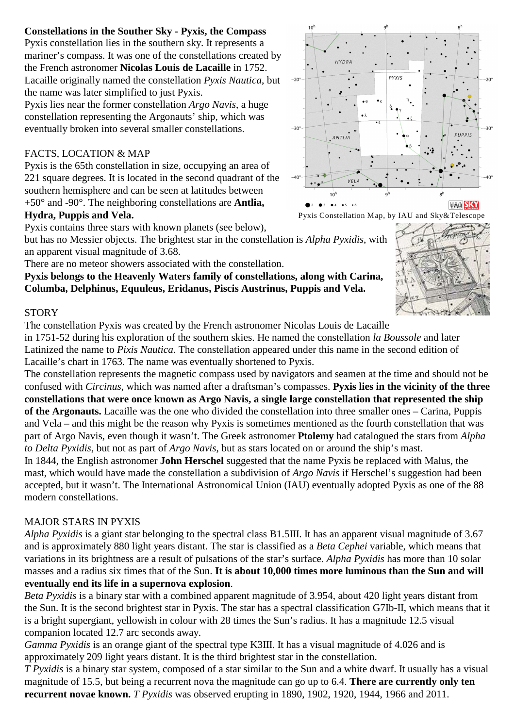# **Constellations in the Souther Sky - Pyxis, the Compass**

Pyxis constellation lies in the southern sky. It represents a mariner's compass. It was one of the constellations created by the French astronomer **Nicolas Louis de Lacaille** in 1752. Lacaille originally named the constellation *Pyxis Nautica*, but the name was later simplified to just Pyxis.

Pyxis lies near the former constellation *Argo Navis*, a huge constellation representing the Argonauts' ship, which was eventually broken into several smaller constellations.

# FACTS, LOCATION & MAP

Pyxis is the 65th constellation in size, occupying an area of 221 square degrees. It is located in the second quadrant of the southern hemisphere and can be seen at latitudes between +50° and -90°. The neighboring constellations are **Antlia, Hydra, Puppis and Vela.**



but has no Messier objects. The brightest star in the constellation is *Alpha Pyxidis*, with an apparent visual magnitude of 3.68.

There are no meteor showers associated with the constellation.

#### **Pyxis belongs to the Heavenly Waters family of constellations, along with Carina, Columba, Delphinus, Equuleus, Eridanus, Piscis Austrinus, Puppis and Vela.**

### **STORY**

The constellation Pyxis was created by the French astronomer Nicolas Louis de Lacaille

in 1751-52 during his exploration of the southern skies. He named the constellation *la Boussole* and later Latinized the name to *Pixis Nautica*. The constellation appeared under this name in the second edition of Lacaille's chart in 1763. The name was eventually shortened to Pyxis.

The constellation represents the magnetic compass used by navigators and seamen at the time and should not be confused with *Circinus*, which was named after a draftsman's compasses. **Pyxis lies in the vicinity of the three constellations that were once known as Argo Navis, a single large constellation that represented the ship of the Argonauts.** Lacaille was the one who divided the constellation into three smaller ones – Carina, Puppis and Vela – and this might be the reason why Pyxis is sometimes mentioned as the fourth constellation that was part of Argo Navis, even though it wasn't. The Greek astronomer **Ptolemy** had catalogued the stars from *Alpha to Delta Pyxidis*, but not as part of *Argo Navis*, but as stars located on or around the ship's mast.

In 1844, the English astronomer **John Herschel** suggested that the name Pyxis be replaced with Malus, the mast, which would have made the constellation a subdivision of *Argo Navis* if Herschel's suggestion had been accepted, but it wasn't. The International Astronomical Union (IAU) eventually adopted Pyxis as one of the 88 modern constellations.

# MAJOR STARS IN PYXIS

*Alpha Pyxidis* is a giant star belonging to the spectral class B1.5III. It has an apparent visual magnitude of 3.67 and is approximately 880 light years distant. The star is classified as a *Beta Cephei* variable, which means that variations in its brightness are a result of pulsations of the star's surface. *Alpha Pyxidis* has more than 10 solar masses and a radius six times that of the Sun. **It is about 10,000 times more luminous than the Sun and will eventually end its life in a supernova explosion**.

*Beta Pyxidis* is a binary star with a combined apparent magnitude of 3.954, about 420 light years distant from the Sun. It is the second brightest star in Pyxis. The star has a spectral classification G7Ib-II, which means that it is a bright supergiant, yellowish in colour with 28 times the Sun's radius. It has a magnitude 12.5 visual companion located 12.7 arc seconds away.

*Gamma Pyxidis* is an orange giant of the spectral type K3III. It has a visual magnitude of 4.026 and is approximately 209 light years distant. It is the third brightest star in the constellation.

*T Pyxidis* is a binary star system, composed of a star similar to the Sun and a white dwarf. It usually has a visual magnitude of 15.5, but being a recurrent nova the magnitude can go up to 6.4. **There are currently only ten recurrent novae known.** *T Pyxidis* was observed erupting in 1890, 1902, 1920, 1944, 1966 and 2011.



Pyxis Constellation Map, by IAU and Sky&Telescope